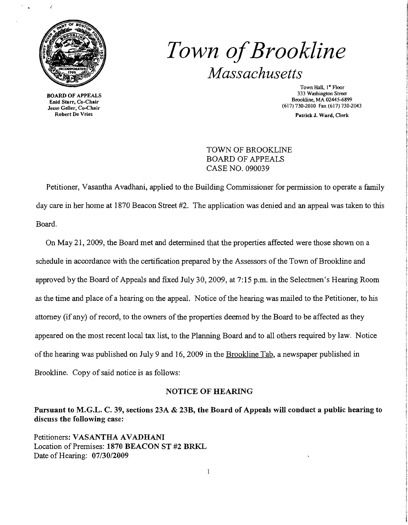

BOARD OF APPEALS Enid Starr, Co-Chair Jesse Geller, Co-Chair Robert De Vries

# *Town ofBrookline Massachusetts*

Town Hall, 1st Floor 333 Washington Street Brookline, MA 02445-6899 (617) 730-2010 Fax (617) 730-2043

Patrick J. Ward, Clerk

TOWN OF BROOKLINE BOARD OF APPEALS CASE NO. 090039

Petitioner, Vasantha Avadhani, applied to the Building Commissioner for permission to operate a family day care in her home at 1870 Beacon Street #2. The application was denied and an appeal was taken to this Board.

On May 21,2009, the Board met and determined that the properties affected were those shown on a schedule in accordance with the certification prepared by the Assessors of the Town of Brookline and approved by the Board of Appeals and fixed July 30, 2009, at 7:15 p.m. in the Selectmen's Hearing Room as the time and place of a hearing on the appeal. Notice of the hearing was mailed to the Petitioner, to his attorney (if any) of record, to the owners of the properties deemed by the Board to be affected as they appeared on the most recent local tax list, to the Planning Board and to all others required by law. Notice ofthe hearing was published on July 9 and 16,2009 in the Brookline Tab, a newspaper published in Brookline. Copy of said notice is as follows:

#### NOTICE OF HEARING

Pursuant to M.G.L. C. 39, sections 23A & 23B, the Board of Appeals will conduct a public hearing to discuss the following case:

Petitioners: VASANTHA AVADHANI Location of Premises: 1870 BEACON ST #2 BRKL Date of Hearing: 07/30/2009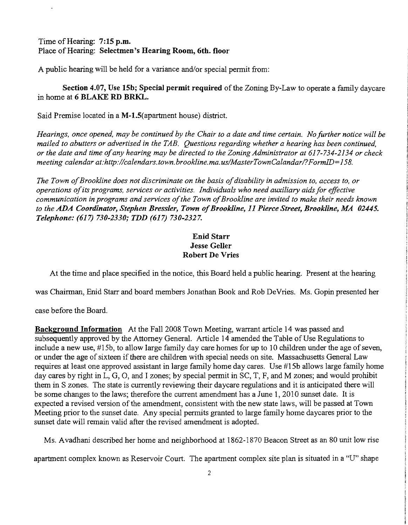Time of Hearing: 7:15 p.m. Place of Hearing: Selectmen's Hearing Room, 6th. floor

A public hearing will be held for a variance and/or special permit from:

Section 4.07, Use 15b; Special permit required of the Zoning By-Law to operate a family daycare in home at 6 BLAKE RD BRKL.

Said Premise located in a M-1.5(apartment house) district.

*Hearings, once opened, may be continued by the Chair to a date and time certain. Nofurther notice will be mailed to abutters or advertised in the TAB. Questions regarding whether a hearing has been continued, or the date and time ofany hearing may be directed to the Zoning Administrator at* 617-734-2134 *or check meeting calendar at:http://calendars. town. brookline.ma.usIMasterTownCalandarl?FormID=158.* 

The Town of Brookline does not discriminate on the basis of disability in admission to, access to, or *operations ofits programs, services or activities. Individuals who need auxiliary aids for effective communication in programs and services of the Town of Brookline are invited to make their needs known to the ADA Coordinator, Stephen Bressler, Town ofBrookline,* 11 *Pierce Street, Brookline, MA 02445. Telephone:* (617) *730-2330; TDD* (617) *730-2327.* 

## Enid Starr Jesse Geller Robert De Vries

At the time and place specified in the notice, this Board held a public hearing. Present at the hearing

was Chairman, Enid Starr and board members Jonathan Book and Rob DeVries. Ms. Gopin presented her

case before the Board.

Background Information At the Fall 2008 Town Meeting, warrant article 14 was passed and subsequently approved by the Attorney General. Article 14 amended the Table of Use Regulations to include a new use, #15b, to allow large family day care homes for up to 10 children under the age of seven, or under the age of sixteen if there are children with special needs on site. Massachusetts General Law requires at least one approved assistant in large family home day cares. Use #15b allows large family home day cares by right in L, G, 0, and I zones; by special permit in SC, T, F, and M zones; and would prohibit them in S zones. The state is currently reviewing their daycare regulations and it is anticipated there will be some changes to the laws; therefore the current amendment has a June 1,2010 sunset date. It is expected a revised version of the amendment, consistent with the new state laws, will be passed at Town Meeting prior to the sunset date. Any special permits granted to large family home daycares prior to the sunset date will remain valid after the revised amendment is adopted.

Ms. Avadhani described her home and neighborhood at 1862-1870 Beacon Street as an 80 unit low rise

apartment complex known as Reservoir Court. The apartment complex site plan is situated in a "U" shape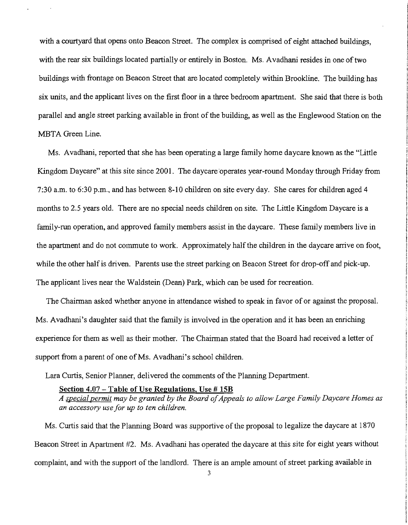with a courtyard that opens onto Beacon Street. The complex is comprised of eight attached buildings, with the rear six buildings located partially or entirely in Boston. Ms. Avadhani resides in one of two buildings with frontage on Beacon Street that are located completely within Brookline. The building has six units, and the applicant lives on the first floor in a three bedroom apartment. She said that there is both parallel and angle street parking available in front of the building, as well as the Englewood Station on the MBTA Green Line.

Ms. Avadhani, reported that she has been operating a large family home daycare known as the "Little Kingdom Daycare" at this site since 2001. The daycare'operates year-round Monday through Friday from 7:30 a.m. to 6:30 p.m., and has between 8-10 children on site every day. She cares for children aged 4 months to 2.5 years old. There are no special needs children on site. The Little Kingdom Daycare is a family-run operation, and approved family members assist in the daycare. These family members live in the apartment and do not commute to work. Approximately half the children in the daycare arrive on foot, while the other half is driven. Parents use the street parking on Beacon Street for drop-off and pick-up. The applicant lives near the Waldstein (Dean) Park, which can be used for recreation.

The Chairman asked whether anyone in attendance wished to speak in favor of or against the proposal. Ms. Avadhani's daughter said that the family is involved in the operation and it has been an enriching experience for them as well as their mother. The Chairman stated that the Board had received a letter of support from a parent of one of Ms. Avadhani's school children.

Lara Curtis, Senior Planner, delivered the comments of the Planning Department.

#### Section 4.07 - Table of Use Regulations. Use # 15B

A special permit may be granted by the Board of Appeals to allow Large Family Daycare Homes as *an accessory use for up to ten children.* 

Ms. Curtis said that the Planning Board was supportive of the proposal to legalize the daycare at 1870 Beacon Street in Apartment #2. Ms. Avadhani has operated the daycare at this site for eight years without complaint, and with the support of the landlord. There is an ample amount of street parking available in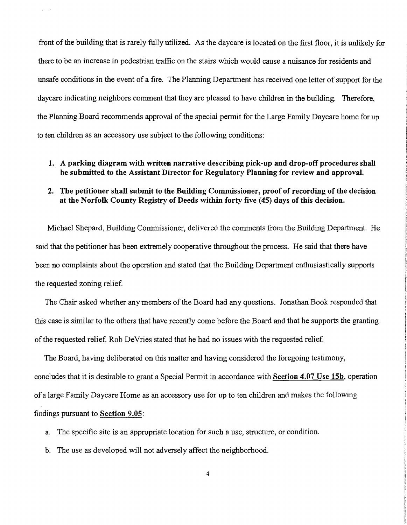front of the building that is rarely fully utilized. As the daycare is located on the first floor, it is unlikely for there to be an increase in pedestrian traffic on the stairs which would cause a nuisance for residents and unsafe conditions in the event of a fire. The Planning Department has received one letter of support for the daycare indicating neighbors comment that they are pleased to have children in the building. Therefore, the Planning Board recommends approval of the special permit for the Large Family Daycare home for up to ten children as an accessory use subject to the following conditions:

 $\mu = 0.4$ 

### 1. A parking diagram with written narrative describing pick-up and drop-off procedures shall be submitted to the Assistant Director for Regulatory Planning for review and approval.

## 2. The petitioner shall submit to the Building Commissioner, proof of recording of the decision at the Norfolk County Registry of Deeds within forty five (45) days of this decision.

Michael Shepard, Building Commissioner, delivered the comments from the Building Department. He said that the petitioner has been extremely cooperative throughout the process. He said that there have been no complaints about the operation and stated that the Building Department enthusiastically supports the requested zoning relief.

The Chair asked whether any members of the Board had any questions. Jonathan Book responded that this case is similar to the others that have recently come before the Board and that he supports the granting ofthe requested relief. Rob DeVries stated that he had no issues with the requested relief.

The Board, having deliberated on this matter and having considered the foregoing testimony, concludes that it is desirable to grant a Special Permit in accordance with Section 4.07 Use 15b, operation of a large Family Daycare Home as an accessory use for up to ten children and makes the following findings pursuant to Section 9.05:

- a. The specific site is an appropriate location for such a use, structure, or condition.
- b. The use as developed will not adversely affect the neighborhood.